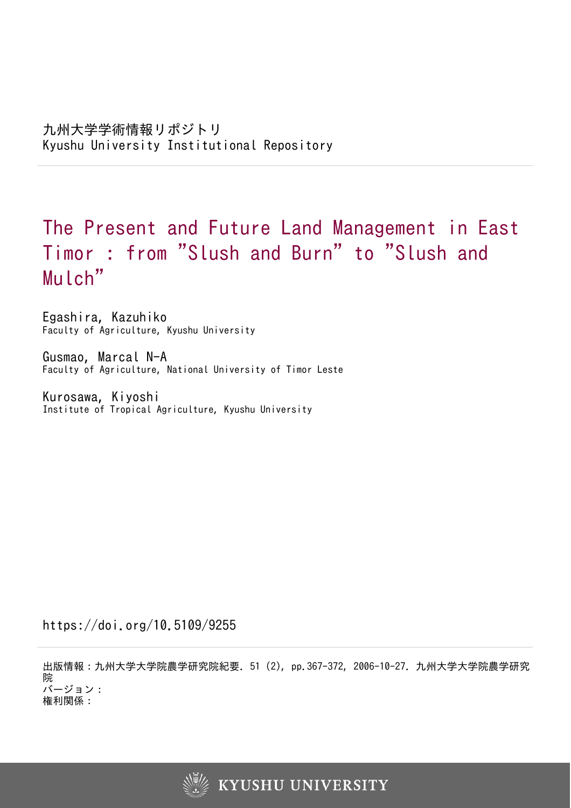# The Present and Future Land Management in East Timor : from "Slush and Burn " to "Slush and Mulch"

Egashira, Kazuhiko Faculty of Agriculture, Kyushu University

Gusmao, Marcal N-A Faculty of Agriculture, National University of Timor Leste

Kurosawa, Kiyoshi Institute of Tropical Agriculture, Kyushu University

https://doi.org/10.5109/9255

出版情報:九州大学大学院農学研究院紀要. 51 (2), pp.367-372, 2006-10-27. 九州大学大学院農学研究 院 バージョン: 権利関係:

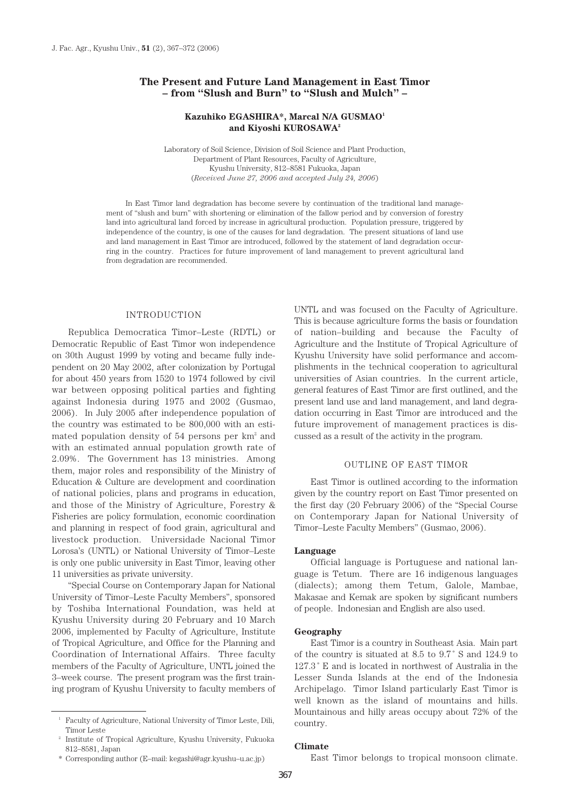# **The Present and Future Land Management in East Timor – from "Slush and Burn" to "Slush and Mulch" –**

# **Kazuhiko EGASHIRA\*, Marcal N/A GUSMAO1 and Kiyoshi KUROSAWA2**

Laboratory of Soil Science, Division of Soil Science and Plant Production, Department of Plant Resources, Faculty of Agriculture, Kyushu University, 812–8581 Fukuoka, Japan (*Received June 27, 2006 and accepted July 24, 2006*)

In East Timor land degradation has become severe by continuation of the traditional land management of "slush and burn" with shortening or elimination of the fallow period and by conversion of forestry land into agricultural land forced by increase in agricultural production. Population pressure, triggered by independence of the country, is one of the causes for land degradation. The present situations of land use and land management in East Timor are introduced, followed by the statement of land degradation occurring in the country. Practices for future improvement of land management to prevent agricultural land from degradation are recommended.

## INTRODUCTION

Republica Democratica Timor–Leste (RDTL) or Democratic Republic of East Timor won independence on 30th August 1999 by voting and became fully independent on 20 May 2002, after colonization by Portugal for about 450 years from 1520 to 1974 followed by civil war between opposing political parties and fighting against Indonesia during 1975 and 2002 (Gusmao, 2006). In July 2005 after independence population of the country was estimated to be 800,000 with an estimated population density of  $54$  persons per  $km<sup>2</sup>$  and with an estimated annual population growth rate of 2.09%. The Government has 13 ministries. Among them, major roles and responsibility of the Ministry of Education & Culture are development and coordination of national policies, plans and programs in education, and those of the Ministry of Agriculture, Forestry & Fisheries are policy formulation, economic coordination and planning in respect of food grain, agricultural and livestock production. Universidade Nacional Timor Lorosa's (UNTL) or National University of Timor–Leste is only one public university in East Timor, leaving other 11 universities as private university.

"Special Course on Contemporary Japan for National University of Timor–Leste Faculty Members", sponsored by Toshiba International Foundation, was held at Kyushu University during 20 February and 10 March 2006, implemented by Faculty of Agriculture, Institute of Tropical Agriculture, and Office for the Planning and Coordination of International Affairs. Three faculty members of the Faculty of Agriculture, UNTL joined the 3–week course. The present program was the first training program of Kyushu University to faculty members of

\* Corresponding author (E–mail: kegashi@agr.kyushu–u.ac.jp)

UNTL and was focused on the Faculty of Agriculture. This is because agriculture forms the basis or foundation of nation–building and because the Faculty of Agriculture and the Institute of Tropical Agriculture of Kyushu University have solid performance and accomplishments in the technical cooperation to agricultural universities of Asian countries. In the current article, general features of East Timor are first outlined, and the present land use and land management, and land degradation occurring in East Timor are introduced and the future improvement of management practices is discussed as a result of the activity in the program.

# OUTLINE OF EAST TIMOR

East Timor is outlined according to the information given by the country report on East Timor presented on the first day (20 February 2006) of the "Special Course on Contemporary Japan for National University of Timor–Leste Faculty Members" (Gusmao, 2006).

#### **Language**

Official language is Portuguese and national language is Tetum. There are 16 indigenous languages (dialects); among them Tetum, Galole, Mambae, Makasae and Kemak are spoken by significant numbers of people. Indonesian and English are also used.

#### **Geography**

East Timor is a country in Southeast Asia. Main part of the country is situated at 8.5 to 9.7 ˚ S and 124.9 to 127.3 ˚ E and is located in northwest of Australia in the Lesser Sunda Islands at the end of the Indonesia Archipelago. Timor Island particularly East Timor is well known as the island of mountains and hills. Mountainous and hilly areas occupy about 72% of the country.

#### **Climate**

East Timor belongs to tropical monsoon climate.

<sup>1</sup> Faculty of Agriculture, National University of Timor Leste, Dili, Timor Leste

<sup>2</sup> Institute of Tropical Agriculture, Kyushu University, Fukuoka 812–8581, Japan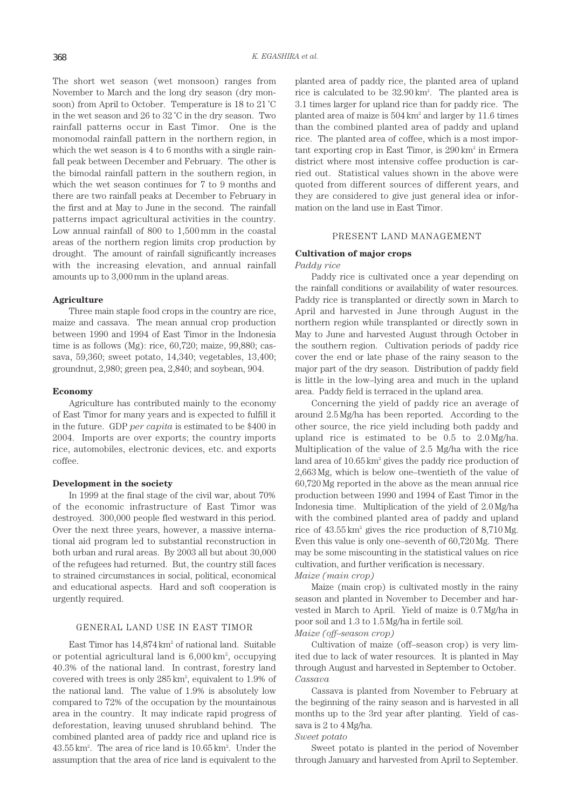The short wet season (wet monsoon) ranges from November to March and the long dry season (dry monsoon) from April to October. Temperature is 18 to 21 ˚C in the wet season and 26 to 32 ˚C in the dry season. Two rainfall patterns occur in East Timor. One is the monomodal rainfall pattern in the northern region, in which the wet season is 4 to 6 months with a single rainfall peak between December and February. The other is the bimodal rainfall pattern in the southern region, in which the wet season continues for 7 to 9 months and there are two rainfall peaks at December to February in the first and at May to June in the second. The rainfall patterns impact agricultural activities in the country. Low annual rainfall of 800 to 1,500 mm in the coastal areas of the northern region limits crop production by drought. The amount of rainfall significantly increases with the increasing elevation, and annual rainfall amounts up to 3,000 mm in the upland areas.

# **Agriculture**

Three main staple food crops in the country are rice, maize and cassava. The mean annual crop production between 1990 and 1994 of East Timor in the Indonesia time is as follows (Mg): rice, 60,720; maize, 99,880; cassava, 59,360; sweet potato, 14,340; vegetables, 13,400; groundnut, 2,980; green pea, 2,840; and soybean, 904.

#### **Economy**

Agriculture has contributed mainly to the economy of East Timor for many years and is expected to fulfill it in the future. GDP *per capita* is estimated to be \$400 in 2004. Imports are over exports; the country imports rice, automobiles, electronic devices, etc. and exports coffee.

## **Development in the society**

In 1999 at the final stage of the civil war, about 70% of the economic infrastructure of East Timor was destroyed. 300,000 people fled westward in this period. Over the next three years, however, a massive international aid program led to substantial reconstruction in both urban and rural areas. By 2003 all but about 30,000 of the refugees had returned. But, the country still faces to strained circumstances in social, political, economical and educational aspects. Hard and soft cooperation is urgently required.

## GENERAL LAND USE IN EAST TIMOR

East Timor has  $14,874 \text{ km}^2$  of national land. Suitable or potential agricultural land is  $6,\!000\,\mathrm{km^2}$ , occupying 40.3% of the national land. In contrast, forestry land covered with trees is only 285 km2 , equivalent to 1.9% of the national land. The value of 1.9% is absolutely low compared to 72% of the occupation by the mountainous area in the country. It may indicate rapid progress of deforestation, leaving unused shrubland behind. The combined planted area of paddy rice and upland rice is 43.55 km2 . The area of rice land is 10.65 km2 . Under the assumption that the area of rice land is equivalent to the

planted area of paddy rice, the planted area of upland rice is calculated to be 32.90 km2 . The planted area is 3.1 times larger for upland rice than for paddy rice. The planted area of maize is 504 km2 and larger by 11.6 times than the combined planted area of paddy and upland rice. The planted area of coffee, which is a most impor- $\mu$  tant exporting crop in East Timor, is 290 km<sup>2</sup> in Ermera district where most intensive coffee production is carried out. Statistical values shown in the above were quoted from different sources of different years, and they are considered to give just general idea or information on the land use in East Timor.

#### PRESENT LAND MANAGEMENT

# **Cultivation of major crops**

# *Paddy rice*

Paddy rice is cultivated once a year depending on the rainfall conditions or availability of water resources. Paddy rice is transplanted or directly sown in March to April and harvested in June through August in the northern region while transplanted or directly sown in May to June and harvested August through October in the southern region. Cultivation periods of paddy rice cover the end or late phase of the rainy season to the major part of the dry season. Distribution of paddy field is little in the low–lying area and much in the upland area. Paddy field is terraced in the upland area.

Concerning the yield of paddy rice an average of around 2.5 Mg/ha has been reported. According to the other source, the rice yield including both paddy and upland rice is estimated to be 0.5 to 2.0 Mg/ha. Multiplication of the value of 2.5 Mg/ha with the rice land area of  $10.65 \text{ km}^2$  gives the paddy rice production of 2,663 Mg, which is below one–twentieth of the value of 60,720 Mg reported in the above as the mean annual rice production between 1990 and 1994 of East Timor in the Indonesia time. Multiplication of the yield of 2.0 Mg/ha with the combined planted area of paddy and upland rice of  $43.55 \text{ km}^2$  gives the rice production of  $8,710 \text{ Mg}$ . Even this value is only one–seventh of 60,720 Mg. There may be some miscounting in the statistical values on rice cultivation, and further verification is necessary.

# *Maize (main crop)*

Maize (main crop) is cultivated mostly in the rainy season and planted in November to December and harvested in March to April. Yield of maize is 0.7 Mg/ha in poor soil and 1.3 to 1.5 Mg/ha in fertile soil.

# *Maize (off–season crop)*

Cultivation of maize (off–season crop) is very limited due to lack of water resources. It is planted in May through August and harvested in September to October. *Cassava*

Cassava is planted from November to February at the beginning of the rainy season and is harvested in all months up to the 3rd year after planting. Yield of cassava is 2 to 4 Mg/ha.

#### *Sweet potato*

Sweet potato is planted in the period of November through January and harvested from April to September.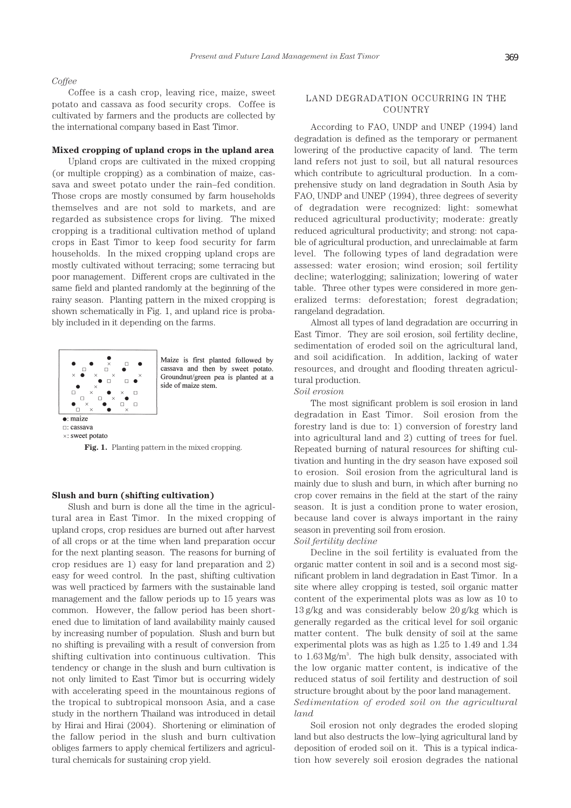## *Coffee*

Coffee is a cash crop, leaving rice, maize, sweet potato and cassava as food security crops. Coffee is cultivated by farmers and the products are collected by the international company based in East Timor.

#### **Mixed cropping of upland crops in the upland area**

Upland crops are cultivated in the mixed cropping (or multiple cropping) as a combination of maize, cassava and sweet potato under the rain–fed condition. Those crops are mostly consumed by farm households themselves and are not sold to markets, and are regarded as subsistence crops for living. The mixed cropping is a traditional cultivation method of upland crops in East Timor to keep food security for farm households. In the mixed cropping upland crops are mostly cultivated without terracing; some terracing but poor management. Different crops are cultivated in the same field and planted randomly at the beginning of the rainy season. Planting pattern in the mixed cropping is shown schematically in Fig. 1, and upland rice is probably included in it depending on the farms.



Maize is first planted followed by cassava and then by sweet potato. Groundnut/green pea is planted at a side of maize stem.

**Fig. 1.** Planting pattern in the mixed cropping.

## **Slush and burn (shifting cultivation)**

Slush and burn is done all the time in the agricultural area in East Timor. In the mixed cropping of upland crops, crop residues are burned out after harvest of all crops or at the time when land preparation occur for the next planting season. The reasons for burning of crop residues are 1) easy for land preparation and 2) easy for weed control. In the past, shifting cultivation was well practiced by farmers with the sustainable land management and the fallow periods up to 15 years was common. However, the fallow period has been shortened due to limitation of land availability mainly caused by increasing number of population. Slush and burn but no shifting is prevailing with a result of conversion from shifting cultivation into continuous cultivation. This tendency or change in the slush and burn cultivation is not only limited to East Timor but is occurring widely with accelerating speed in the mountainous regions of the tropical to subtropical monsoon Asia, and a case study in the northern Thailand was introduced in detail by Hirai and Hirai (2004). Shortening or elimination of the fallow period in the slush and burn cultivation obliges farmers to apply chemical fertilizers and agricultural chemicals for sustaining crop yield.

# LAND DEGRADATION OCCURRING IN THE COUNTRY

According to FAO, UNDP and UNEP (1994) land degradation is defined as the temporary or permanent lowering of the productive capacity of land. The term land refers not just to soil, but all natural resources which contribute to agricultural production. In a comprehensive study on land degradation in South Asia by FAO, UNDP and UNEP (1994), three degrees of severity of degradation were recognized: light: somewhat reduced agricultural productivity; moderate: greatly reduced agricultural productivity; and strong: not capable of agricultural production, and unreclaimable at farm level. The following types of land degradation were assessed: water erosion; wind erosion; soil fertility decline; waterlogging; salinization; lowering of water table. Three other types were considered in more generalized terms: deforestation; forest degradation; rangeland degradation.

Almost all types of land degradation are occurring in East Timor. They are soil erosion, soil fertility decline, sedimentation of eroded soil on the agricultural land, and soil acidification. In addition, lacking of water resources, and drought and flooding threaten agricultural production.

## *Soil erosion*

The most significant problem is soil erosion in land degradation in East Timor. Soil erosion from the forestry land is due to: 1) conversion of forestry land into agricultural land and 2) cutting of trees for fuel. Repeated burning of natural resources for shifting cultivation and hunting in the dry season have exposed soil to erosion. Soil erosion from the agricultural land is mainly due to slush and burn, in which after burning no crop cover remains in the field at the start of the rainy season. It is just a condition prone to water erosion, because land cover is always important in the rainy season in preventing soil from erosion.

## *Soil fertility decline*

Decline in the soil fertility is evaluated from the organic matter content in soil and is a second most significant problem in land degradation in East Timor. In a site where alley cropping is tested, soil organic matter content of the experimental plots was as low as 10 to 13 g/kg and was considerably below 20 g/kg which is generally regarded as the critical level for soil organic matter content. The bulk density of soil at the same experimental plots was as high as 1.25 to 1.49 and 1.34 to 1.63 Mg/m3 . The high bulk density, associated with the low organic matter content, is indicative of the reduced status of soil fertility and destruction of soil structure brought about by the poor land management. *Sedimentation of eroded soil on the agricultural land*

Soil erosion not only degrades the eroded sloping land but also destructs the low–lying agricultural land by deposition of eroded soil on it. This is a typical indication how severely soil erosion degrades the national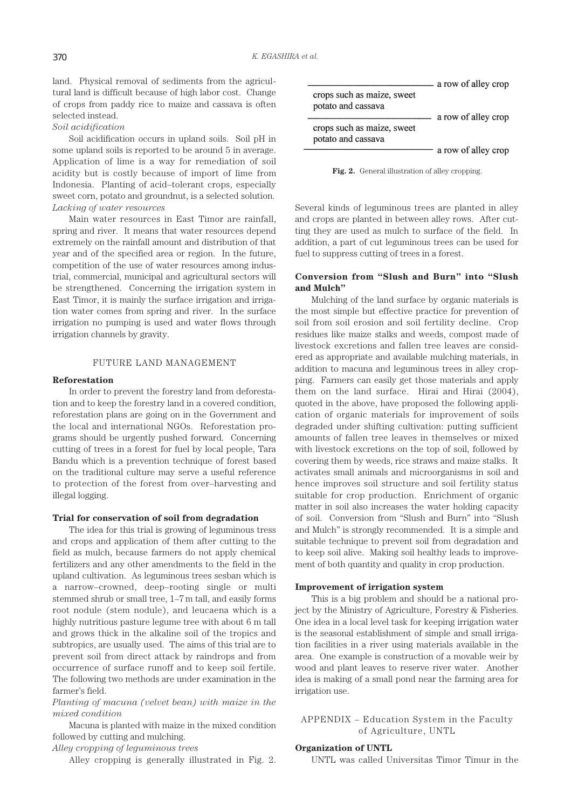land. Physical removal of sediments from the agricultural land is difficult because of high labor cost. Change of crops from paddy rice to maize and cassava is often selected instead.

## *Soil acidification*

Soil acidification occurs in upland soils. Soil pH in some upland soils is reported to be around 5 in average. Application of lime is a way for remediation of soil acidity but is costly because of import of lime from Indonesia. Planting of acid–tolerant crops, especially sweet corn, potato and groundnut, is a selected solution. *Lacking of water resources*

Main water resources in East Timor are rainfall, spring and river. It means that water resources depend extremely on the rainfall amount and distribution of that year and of the specified area or region. In the future, competition of the use of water resources among industrial, commercial, municipal and agricultural sectors will be strengthened. Concerning the irrigation system in East Timor, it is mainly the surface irrigation and irrigation water comes from spring and river. In the surface irrigation no pumping is used and water flows through irrigation channels by gravity.

## FUTURE LAND MANAGEMENT

#### **Reforestation**

In order to prevent the forestry land from deforestation and to keep the forestry land in a covered condition, reforestation plans are going on in the Government and the local and international NGOs. Reforestation programs should be urgently pushed forward. Concerning cutting of trees in a forest for fuel by local people, Tara Bandu which is a prevention technique of forest based on the traditional culture may serve a useful reference to protection of the forest from over–harvesting and illegal logging.

### **Trial for conservation of soil from degradation**

The idea for this trial is growing of leguminous tress and crops and application of them after cutting to the field as mulch, because farmers do not apply chemical fertilizers and any other amendments to the field in the upland cultivation. As leguminous trees sesban which is a narrow–crowned, deep–rooting single or multi stemmed shrub or small tree, 1–7 m tall, and easily forms root nodule (stem nodule), and leucaena which is a highly nutritious pasture legume tree with about 6 m tall and grows thick in the alkaline soil of the tropics and subtropics, are usually used. The aims of this trial are to prevent soil from direct attack by raindrops and from occurrence of surface runoff and to keep soil fertile. The following two methods are under examination in the farmer's field.

*Planting of macuna (velvet bean) with maize in the mixed condition*

Macuna is planted with maize in the mixed condition followed by cutting and mulching.

*Alley cropping of leguminous trees*

Alley cropping is generally illustrated in Fig. 2.



Fig. 2. General illustration of alley cropping.

Several kinds of leguminous trees are planted in alley and crops are planted in between alley rows. After cutting they are used as mulch to surface of the field. In addition, a part of cut leguminous trees can be used for fuel to suppress cutting of trees in a forest.

# **Conversion from "Slush and Burn" into "Slush and Mulch"**

Mulching of the land surface by organic materials is the most simple but effective practice for prevention of soil from soil erosion and soil fertility decline. Crop residues like maize stalks and weeds, compost made of livestock excretions and fallen tree leaves are considered as appropriate and available mulching materials, in addition to macuna and leguminous trees in alley cropping. Farmers can easily get those materials and apply them on the land surface. Hirai and Hirai (2004), quoted in the above, have proposed the following application of organic materials for improvement of soils degraded under shifting cultivation: putting sufficient amounts of fallen tree leaves in themselves or mixed with livestock excretions on the top of soil, followed by covering them by weeds, rice straws and maize stalks. It activates small animals and microorganisms in soil and hence improves soil structure and soil fertility status suitable for crop production. Enrichment of organic matter in soil also increases the water holding capacity of soil. Conversion from "Slush and Burn" into "Slush and Mulch" is strongly recommended. It is a simple and suitable technique to prevent soil from degradation and to keep soil alive. Making soil healthy leads to improvement of both quantity and quality in crop production.

#### **Improvement of irrigation system**

This is a big problem and should be a national project by the Ministry of Agriculture, Forestry & Fisheries. One idea in a local level task for keeping irrigation water is the seasonal establishment of simple and small irrigation facilities in a river using materials available in the area. One example is construction of a movable weir by wood and plant leaves to reserve river water. Another idea is making of a small pond near the farming area for irrigation use.

APPENDIX – Education System in the Faculty of Agriculture, UNTL

# **Organization of UNTL**

UNTL was called Universitas Timor Timur in the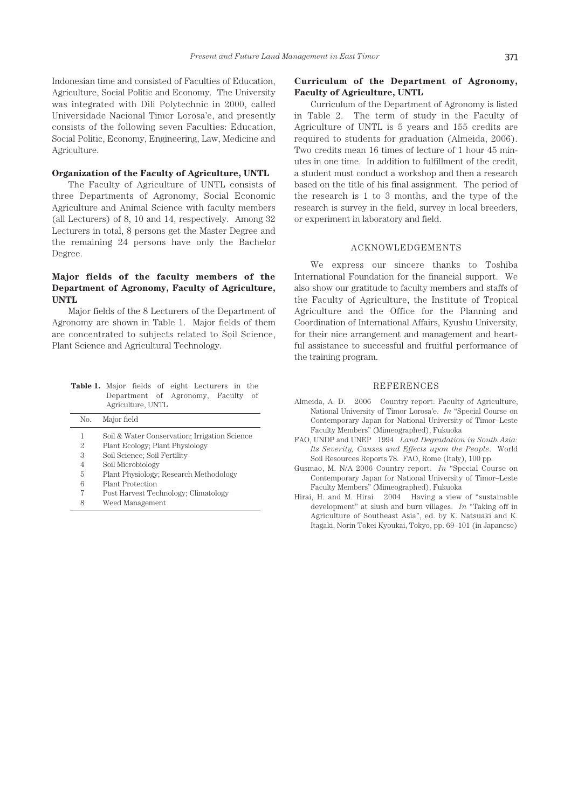Indonesian time and consisted of Faculties of Education, Agriculture, Social Politic and Economy. The University was integrated with Dili Polytechnic in 2000, called Universidade Nacional Timor Lorosa'e, and presently consists of the following seven Faculties: Education, Social Politic, Economy, Engineering, Law, Medicine and Agriculture.

# **Organization of the Faculty of Agriculture, UNTL**

The Faculty of Agriculture of UNTL consists of three Departments of Agronomy, Social Economic Agriculture and Animal Science with faculty members (all Lecturers) of 8, 10 and 14, respectively. Among 32 Lecturers in total, 8 persons get the Master Degree and the remaining 24 persons have only the Bachelor Degree.

# **Major fields of the faculty members of the Department of Agronomy, Faculty of Agriculture, UNTL**

Major fields of the 8 Lecturers of the Department of Agronomy are shown in Table 1. Major fields of them are concentrated to subjects related to Soil Science, Plant Science and Agricultural Technology.

| <b>Table 1.</b> Major fields of eight Lecturers in the |                                    |                   |  |  |  |  |  |
|--------------------------------------------------------|------------------------------------|-------------------|--|--|--|--|--|
|                                                        | Department of Agronomy, Faculty of |                   |  |  |  |  |  |
|                                                        |                                    | Agriculture, UNTL |  |  |  |  |  |

| No. | Major field                                   |
|-----|-----------------------------------------------|
| 1   | Soil & Water Conservation; Irrigation Science |
| 2   | Plant Ecology; Plant Physiology               |
| 3   | Soil Science; Soil Fertility                  |
| 4   | Soil Microbiology                             |
| 5   | Plant Physiology; Research Methodology        |
| 6   | <b>Plant Protection</b>                       |
| 7   | Post Harvest Technology; Climatology          |
| 8   | Weed Management                               |

# **Curriculum of the Department of Agronomy, Faculty of Agriculture, UNTL**

Curriculum of the Department of Agronomy is listed in Table 2. The term of study in the Faculty of Agriculture of UNTL is 5 years and 155 credits are required to students for graduation (Almeida, 2006). Two credits mean 16 times of lecture of 1 hour 45 minutes in one time. In addition to fulfillment of the credit, a student must conduct a workshop and then a research based on the title of his final assignment. The period of the research is 1 to 3 months, and the type of the research is survey in the field, survey in local breeders, or experiment in laboratory and field.

## ACKNOWLEDGEMENTS

We express our sincere thanks to Toshiba International Foundation for the financial support. We also show our gratitude to faculty members and staffs of the Faculty of Agriculture, the Institute of Tropical Agriculture and the Office for the Planning and Coordination of International Affairs, Kyushu University, for their nice arrangement and management and heartful assistance to successful and fruitful performance of the training program.

#### REFERENCES

- Almeida, A. D. 2006 Country report: Faculty of Agriculture, National University of Timor Lorosa'e. *In* "Special Course on Contemporary Japan for National University of Timor–Leste Faculty Members" (Mimeographed), Fukuoka
- FAO, UNDP and UNEP 1994 *Land Degradation in South Asia: Its Severity, Causes and Effects upon the People*. World Soil Resources Reports 78. FAO, Rome (Italy), 100 pp.
- Gusmao, M. N/A 2006 Country report. *In* "Special Course on Contemporary Japan for National University of Timor–Leste Faculty Members" (Mimeographed), Fukuoka
- Hirai, H. and M. Hirai 2004 Having a view of "sustainable development" at slush and burn villages. *In* "Taking off in Agriculture of Southeast Asia", ed. by K. Natsuaki and K. Itagaki, Norin Tokei Kyoukai, Tokyo, pp. 69–101 (in Japanese)